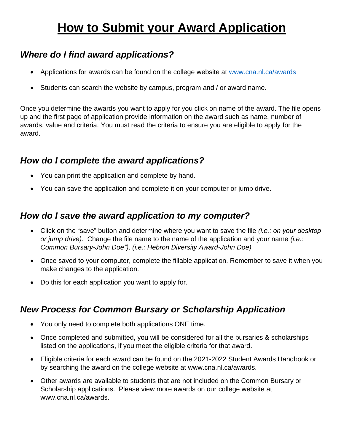# **How to Submit your Award Application**

## *Where do I find award applications?*

- Applications for awards can be found on the college website at [www.cna.nl.ca/awards](http://www.cna.nl.ca/awards)
- Students can search the website by campus, program and / or award name.

Once you determine the awards you want to apply for you click on name of the award. The file opens up and the first page of application provide information on the award such as name, number of awards, value and criteria. You must read the criteria to ensure you are eligible to apply for the award.

## *How do I complete the award applications?*

- You can print the application and complete by hand.
- You can save the application and complete it on your computer or jump drive.

## *How do I save the award application to my computer?*

- Click on the "save" button and determine where you want to save the file *(i.e.: on your desktop or jump drive).* Change the file name to the name of the application and your name *(i.e.: Common Bursary-John Doe"), (i.e.: Hebron Diversity Award-John Doe)*
- Once saved to your computer, complete the fillable application. Remember to save it when you make changes to the application.
- Do this for each application you want to apply for.

# *New Process for Common Bursary or Scholarship Application*

- You only need to complete both applications ONE time.
- Once completed and submitted, you will be considered for all the bursaries & scholarships listed on the applications, if you meet the eligible criteria for that award.
- Eligible criteria for each award can be found on the 2021-2022 Student Awards Handbook or by searching the award on the college website at www.cna.nl.ca/awards.
- Other awards are available to students that are not included on the Common Bursary or Scholarship applications. Please view more awards on our college website at www.cna.nl.ca/awards.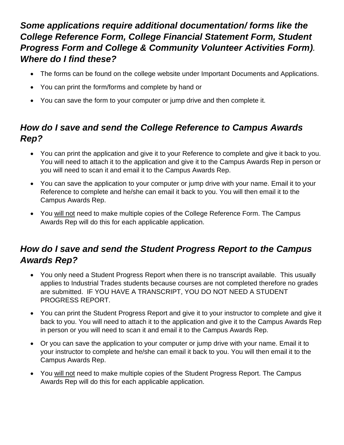## *Some applications require additional documentation/ forms like the College Reference Form, College Financial Statement Form, Student Progress Form and College & Community Volunteer Activities Form). Where do I find these?*

- The forms can be found on the college website under Important Documents and Applications.
- You can print the form/forms and complete by hand or
- You can save the form to your computer or jump drive and then complete it.

## *How do I save and send the College Reference to Campus Awards Rep?*

- You can print the application and give it to your Reference to complete and give it back to you. You will need to attach it to the application and give it to the Campus Awards Rep in person or you will need to scan it and email it to the Campus Awards Rep.
- You can save the application to your computer or jump drive with your name. Email it to your Reference to complete and he/she can email it back to you. You will then email it to the Campus Awards Rep.
- You will not need to make multiple copies of the College Reference Form. The Campus Awards Rep will do this for each applicable application.

## *How do I save and send the Student Progress Report to the Campus Awards Rep?*

- You only need a Student Progress Report when there is no transcript available. This usually applies to Industrial Trades students because courses are not completed therefore no grades are submitted. IF YOU HAVE A TRANSCRIPT, YOU DO NOT NEED A STUDENT PROGRESS REPORT.
- You can print the Student Progress Report and give it to your instructor to complete and give it back to you. You will need to attach it to the application and give it to the Campus Awards Rep in person or you will need to scan it and email it to the Campus Awards Rep.
- Or you can save the application to your computer or jump drive with your name. Email it to your instructor to complete and he/she can email it back to you. You will then email it to the Campus Awards Rep.
- You will not need to make multiple copies of the Student Progress Report. The Campus Awards Rep will do this for each applicable application.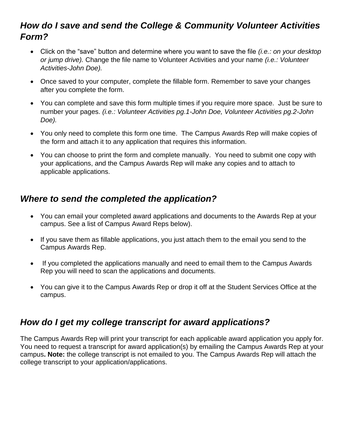### *How do I save and send the College & Community Volunteer Activities Form?*

- Click on the "save" button and determine where you want to save the file *(i.e.: on your desktop or jump drive).* Change the file name to Volunteer Activities and your name *(i.e.: Volunteer Activities-John Doe).*
- Once saved to your computer, complete the fillable form. Remember to save your changes after you complete the form.
- You can complete and save this form multiple times if you require more space. Just be sure to number your pages. *(i.e.: Volunteer Activities pg.1-John Doe, Volunteer Activities pg.2-John Doe).*
- You only need to complete this form one time. The Campus Awards Rep will make copies of the form and attach it to any application that requires this information.
- You can choose to print the form and complete manually. You need to submit one copy with your applications, and the Campus Awards Rep will make any copies and to attach to applicable applications.

#### *Where to send the completed the application?*

- You can email your completed award applications and documents to the Awards Rep at your campus. See a list of Campus Award Reps below).
- If you save them as fillable applications, you just attach them to the email you send to the Campus Awards Rep.
- If you completed the applications manually and need to email them to the Campus Awards Rep you will need to scan the applications and documents.
- You can give it to the Campus Awards Rep or drop it off at the Student Services Office at the campus.

## *How do I get my college transcript for award applications?*

The Campus Awards Rep will print your transcript for each applicable award application you apply for. You need to request a transcript for award application(s) by emailing the Campus Awards Rep at your campus**. Note:** the college transcript is not emailed to you. The Campus Awards Rep will attach the college transcript to your application/applications.